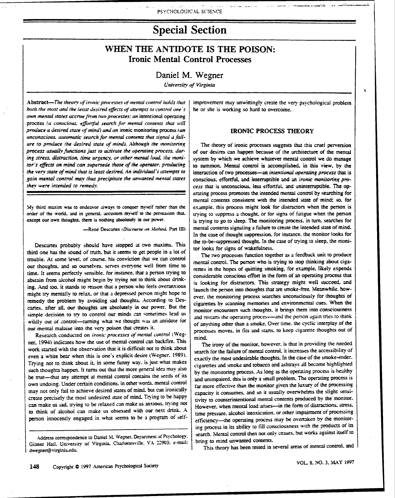# **Special Section**

## WHEN THE ANTIDOTE IS THE POISON: **Ironic Mental Control Processes**

### Daniel M. Wegner

**University of Virginia** 

Abstract-The theory of ironic processes of mental control holds that both the most and the least desired effects of attempts to control one's own mental states accrue from two processes: an intentional operating process (a conscious, effortful search for mental contents that will produce a desired state of mind) and an ironic monitoring process (an unconscious, automatic search for mental contents that signal a failure to produce the desired state of mind). Although the monitoring process usually functions just to activate the operating process, during stress, distraction, time urgency, or other mental load, the monitor's effects on mind can supersede those of the operator, producing the very state of mind that is least desired. An individual's attempts to gain mental control may thus precipitate the unwanted mental states they were intended to remedy.

My third maxim was to endeavor always to conquer myself rather than the order of the world, and in general, accustom myself to the persuasion that, except our own thoughts, there is nothing absolutely in our power.

-René Descartes (Discourse on Method, Part III)

Descartes probably should have stopped at two maxims. This third one has the sound of truth, but it seems to get people in a lot of trouble. At some level, of course, his conviction that we can control our thoughts, and so ourselves, serves everyone well from time to time. It seems perfectly sensible, for instance, that a person trying to abstain from alcohol might begin by trying not to think about drinking. And too, it stands to reason that a person who feels overanxious might try mentally to relax, or that a depressed person might hope to remedy the problem by avoiding sad thoughts. According to Descartes, after all, our thoughts are absolutely in our power. But the simple decision to try to control our minds can sometimes lead us wildly out of control-turning what we thought was an antidote for our mental malaise into the very poison that creates it.

Research conducted on ironic processes of mental control (Wegner, 1994) indicates how the use of mental control can backfire. This work started with the observation that it is difficult not to think about even a white bear when this is one's explicit desire (Wegner, 1989). Trying not to think about it, in some funny way, is just what makes such thoughts happen. It turns out that the more general idea may also be true--- that any attempt at mental control contains the seeds of its own undoing. Under certain conditions, in other words, mental control may not only fail to achieve desired states of mind, but can ironically create precisely the most undesired state of mind. Trying to be happy can make us sad, trying to be relaxed can make us anxious, trying not to think of alcohol can make us obsessed with our next drink. A person innocently engaged in what seems to be a program of self-

Address correspondence to Daniel M. Wegner, Department of Psychology, Gilmer Hall, University of Virginia, Charlottesville, VA 22903; e-mail: dwegner@virginia.edu.

improvement may unwittingly create the very psychological problem he or she is working so hard to overcome.

#### **IRONIC PROCESS THEORY**

The theory of ironic processes suggests that this cruel perversion of our desires can happen because of the architecture of the mental system by which we achieve whatever mental control we do manage to summon. Mental control is accomplished, in this view, by the interaction of two processes—an intentional operating process that is conscious, effortful, and interruptible and an *ironic monitoring pro*cess that is unconscious, less effortful, and uninterruptible. The operating process promotes the intended mental control by searching for mental contents consistent with the intended state of mind; so, for example, this process might look for distractors when the person is trying to suppress a thought, or for signs of fatigue when the person is trying to go to sleep. The monitoring process, in turn, searches for mental contents signaling a failure to create the intended state of mind. In the case of thought suppression, for instance, the monitor looks for the to-be-suppressed thought. In the case of trying to sleep, the monitor looks for signs of wakefulness.

The two processes function together as a feedback unit to produce mental control. The person who is trying to stop thinking about cigarettes in the hopes of quitting smoking, for example, likely expends considerable conscious effort in the form of an operating process that is looking for distractors. This strategy might well succeed, and launch the person into thoughts that are smoke-free. Meanwhile, however, the monitoring process searches unconsciously for thoughts of cigarettes by scanning memories and environmental cues. When the monitor encounters such thoughts, it brings them into consciousness and restarts the operating process-and the person again tries to think of anything other than a smoke. Over time, the cyclic interplay of the processes moves, in fits and starts, to keep cigarette thoughts out of mind.

The irony of the monitor, however, is that in providing the needed search for the failure of mental control, it increases the accessibility of exactly the most undesirable thoughts. In the case of the smoke-ender. cigarettes and smoke and tobacco and ashtrays all become highlighted by the monitoring process. As long as the operating process is healthy and unimpaired, this is only a small problem. The operating process is far more effective than the monitor given the luxury of the processing capacity it consumes, and so it usually overwhelms the slight sensitivity to counterintentional mental contents produced by the monitor. However, when mental load arises-in the form of distractions, stress, time pressure, alcohol intoxication, or other impairment of processing efficiency-the operating process may be overtaken by the monitoring process in its ability to fill consciousness with the products of its search. Mental control then not only ceases, but works against itself to bring to mind unwanted contents.

This theory has been tested in several areas of mental control, and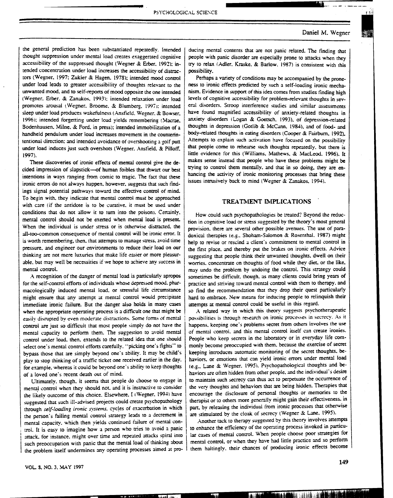PSYCHOLOGICAL SCIENCE

the general prediction has been substantiated repeatedly. Intended thought suppression under mental load creates exaggerated cognitive accessibility of the suppressed thought (Wegner & Erber, 1992); intended concentration under load increases the accessibility of distractors (Wegner, 1997; Zukier & Hagen, 1978); intended mood control under load leads to greater accessibility of thoughts relevant to the unwanted mood, and to self-reports of mood opposite the one intended (Wegner, Erber, & Zanakos, 1993); intended relaxation under load promotes arousal (Wegner, Broome, & Blumberg, 1997); intended sleep under load produces wakefulness (Ansfield, Wegner, & Bowser, 1996); intended forgetting under load yields remembering (Macrae, Bodenhausen, Milne, & Ford, in press); intended immobilization of a handheld pendulum under load increases movement in the counterintentional direction; and intended avoidance of overshooting a golf putt under load induces just such overshots (Wegner, Ansfield, & Pilloff, 1997).

These discoveries of ironic effects of mental control give the decided impression of slapstick-of human foibles that thwart our best intentions in ways ranging from comic to tragic. The fact that these ironic errors do not always happen, however, suggests that such findings signal potential pathways toward the effective control of mind. To begin with, they indicate that mental control must be approached with care (if the antidote is to be curative, it must be used under conditions that do not allow it to turn into the poison). Certainly, mental control should not be exerted when mental load is present. When the individual is under stress or is otherwise distracted, the all-too-common consequence of mental control will be ironic error. It is worth remembering, then, that attempts to manage stress, avoid time pressure, and engineer our environments to reduce their load on our thinking are not mere luxuries that make life easier or more pleasurable, but may well be necessities if we hope to achieve any success in mental control.

A recognition of the danger of mental load is particularly apropos for the self-control efforts of individuals whose depressed mood, pharmacologically induced mental load, or stressful life circumstance might ensure that any attempt at mental control would precipitate immediate ironic failure. But the danger also holds in many cases when the appropriate operating process is a difficult one that might be easily disrupted by even moderate distractions. Some forms of mental control are just so difficult that most people simply do not have the mental capacity to perform them. The suggestion to avoid mental control under load, then, extends to the related idea that one should select one's mental control efforts carefully, "picking one's fights" to bypass those that are simply beyond one's ability. It may be child's play to stop thinking of a traffic ticket one received earlier in the day. for example, whereas it could be beyond one's ability to keep thoughts of a loved one's recent death out of mind.

Ultimately, though, it seems that people do choose to engage in mental control when they should not, and it is instructive to consider the likely outcome of this choice. Elsewhere, I (Wegner, 1994) have suggested that such ill-advised projects could create psychopathology through self-loading ironic systems, cycles of exacerbation in which the person's failing mental control strategy leads to a decrement in mental capacity, which then vields continued failure of mental control. It is easy to imagine how a person who tries to avoid a panic attack, for instance, might over time and repeated attacks spiral into such preoccupation with panic that the mental load of thinking about the problem itself undermines any operating processes aimed at pro-

ducing mental contents that are not panic related. The finding that people with panic disorder are especially prone to attacks when they try to relax (Adler, Kraske, & Barlow, 1987) is consistent with this possibility.

Perhaps a variety of conditions may be accompanied by the proneness to ironic effects predicted by such a self-loading ironic mechanism. Evidence in support of this idea comes from studies finding high levels of cognitive accessibility for problem-relevant thoughts in several disorders. Stroop interference studies and similar assessments have found magnified accessibility of anxiety-related thoughts in anxiety disorders (Logan & Goetsch, 1993), of depression-related thoughts in depression (Gotlib & McCann, 1984), and of food- and body-related thoughts in eating disorders (Cooper & Fairburn, 1992). Attempts to explain such activation have focused on the possibility that people come to rehearse such thoughts repeatedly, but there is little evidence for this (Williams, Mathews, & MacLeod, 1996). It makes sense instead that people who have these problems might be trying to control them mentally, and that in so doing, they are enhancing the activity of ironic monitoring processes that bring these issues intrusively back to mind (Wegner & Zanakos, 1994).

#### TREATMENT IMPLICATIONS

How could such psychopathologies be treated? Bevond the reduction in cognitive load or stress suggested by the theory's most general provision, there are several other possible avenues. The use of paradoxical therapies (e.g., Shoham-Salomon & Rosenthal, 1987) might help to revise or rescind a client's commitment to mental control in the first place, and thereby put the brakes on ironic effects. Advice suggesting that people think their unwanted thoughts, dwell on their worries, concentrate on thoughts of food while they diet, or the like, may undo the problem by undoing the control. This strategy could sometimes be difficult, though, as many clients could bring years of practice and striving toward mental control with them to therapy, and so find the recommendation that they drop their quest particularly hard to embrace. New means for inducing people to relinquish their attempts at mental control could be useful in this regard.

A related way in which this theory suggests psychotherapeutic possibilities is through research on ironic processes in secrecy. As it happens, keeping one's problems secret from others involves the use of mental control, and this mental control itself can create ironies. People who keep secrets in the laboratory or in everyday life commonly become preoccupied with them, because the exercise of secret keeping introduces automatic monitoring of the secret thoughts, behaviors, or emotions that can vield ironic errors under mental load (e.g., Lane & Wegner, 1995). Psychopathological thoughts and behaviors are often hidden from other people, and the individual's desire to maintain such secrecy can thus act to perpetuate the occurrence of the very thoughts and behaviors that are being hidden. Therapies that encourage the disclosure of personal thoughts or memories to the therapist or to others more generally might gain their effectiveness, in part, by releasing the individual from ironic processes that otherwise are stimulated by the cloak of secrecy (Wegner & Lane, 1995).

Another tack to therapy suggested by this theory involves attempts to enhance the efficiency of the operating process invoked in particular cases of mental control. When people choose poor strategies for mental control, or when they have had little practice and so perform them haltingly, their chances of producing ironic effects become

**Malaysia** daha dahil di kacamatan